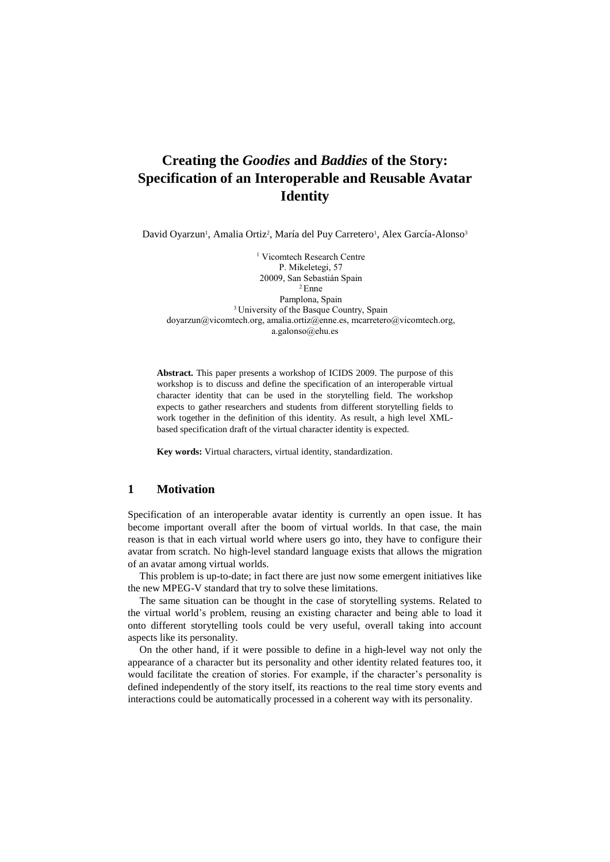## **Creating the** *Goodies* **and** *Baddies* **of the Story: Specification of an Interoperable and Reusable Avatar Identity**

David Oyarzun<sup>1</sup>, Amalia Ortiz<sup>2</sup>, María del Puy Carretero<sup>1</sup>, Alex García-Alonso<sup>3</sup>

<sup>1</sup> Vicomtech Research Centre P. Mikeletegi, 57 20009, San Sebastián Spain <sup>2</sup> Enne Pamplona, Spain <sup>3</sup> University of the Basque Country, Spain [doyarzun@vicomtech.org,](mailto:doyarzun@vicomtech.org) [amalia.ortiz@enne.es,](mailto:amalia.ortiz@enne.es) [mcarretero@vicomtech.org,](mailto:mcarretero@vicomtech.org) [a.galonso@ehu.es](mailto:a.galonso@ehu.es)

**Abstract.** This paper presents a workshop of ICIDS 2009. The purpose of this workshop is to discuss and define the specification of an interoperable virtual character identity that can be used in the storytelling field. The workshop expects to gather researchers and students from different storytelling fields to work together in the definition of this identity. As result, a high level XMLbased specification draft of the virtual character identity is expected.

**Key words:** Virtual characters, virtual identity, standardization.

## **1 Motivation**

Specification of an interoperable avatar identity is currently an open issue. It has become important overall after the boom of virtual worlds. In that case, the main reason is that in each virtual world where users go into, they have to configure their avatar from scratch. No high-level standard language exists that allows the migration of an avatar among virtual worlds.

This problem is up-to-date; in fact there are just now some emergent initiatives like the new MPEG-V standard that try to solve these limitations.

The same situation can be thought in the case of storytelling systems. Related to the virtual world's problem, reusing an existing character and being able to load it onto different storytelling tools could be very useful, overall taking into account aspects like its personality.

On the other hand, if it were possible to define in a high-level way not only the appearance of a character but its personality and other identity related features too, it would facilitate the creation of stories. For example, if the character's personality is defined independently of the story itself, its reactions to the real time story events and interactions could be automatically processed in a coherent way with its personality.